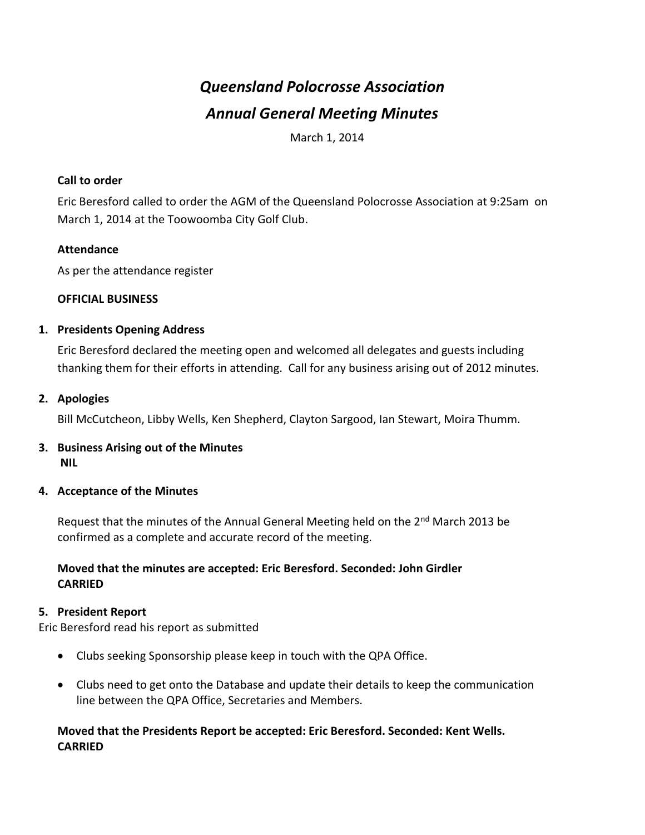# *Queensland Polocrosse Association Annual General Meeting Minutes*

March 1, 2014

#### **Call to order**

Eric Beresford called to order the AGM of the Queensland Polocrosse Association at 9:25am on March 1, 2014 at the Toowoomba City Golf Club.

#### **Attendance**

As per the attendance register

#### **OFFICIAL BUSINESS**

#### **1. Presidents Opening Address**

Eric Beresford declared the meeting open and welcomed all delegates and guests including thanking them for their efforts in attending. Call for any business arising out of 2012 minutes.

#### **2. Apologies**

Bill McCutcheon, Libby Wells, Ken Shepherd, Clayton Sargood, Ian Stewart, Moira Thumm.

#### **3. Business Arising out of the Minutes NIL**

#### **4. Acceptance of the Minutes**

Request that the minutes of the Annual General Meeting held on the 2<sup>nd</sup> March 2013 be confirmed as a complete and accurate record of the meeting.

#### **Moved that the minutes are accepted: Eric Beresford. Seconded: John Girdler CARRIED**

#### **5. President Report**

Eric Beresford read his report as submitted

- Clubs seeking Sponsorship please keep in touch with the QPA Office.
- Clubs need to get onto the Database and update their details to keep the communication line between the QPA Office, Secretaries and Members.

#### **Moved that the Presidents Report be accepted: Eric Beresford. Seconded: Kent Wells. CARRIED**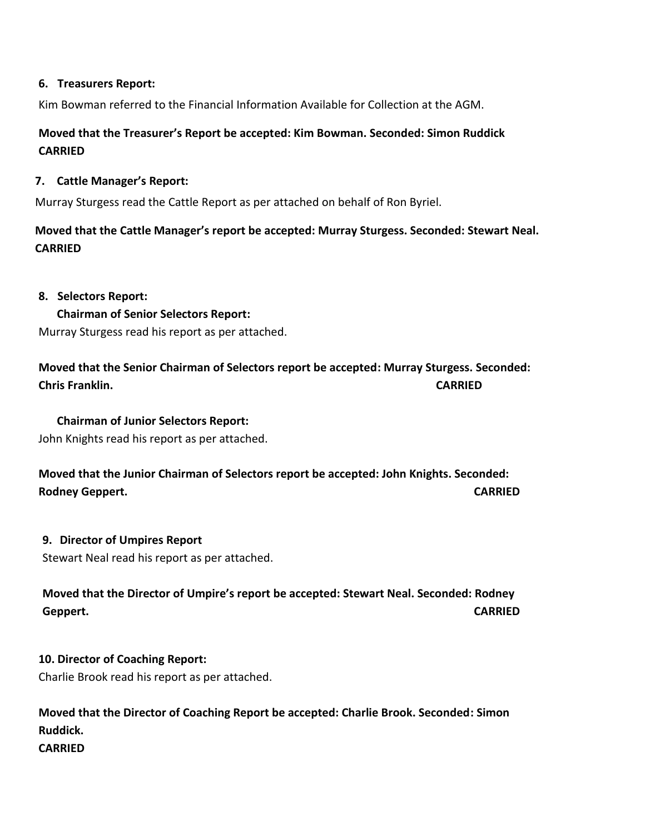#### **6. Treasurers Report:**

Kim Bowman referred to the Financial Information Available for Collection at the AGM.

## **Moved that the Treasurer's Report be accepted: Kim Bowman. Seconded: Simon Ruddick CARRIED**

#### **7. Cattle Manager's Report:**

Murray Sturgess read the Cattle Report as per attached on behalf of Ron Byriel.

**Moved that the Cattle Manager's report be accepted: Murray Sturgess. Seconded: Stewart Neal. CARRIED**

#### **8. Selectors Report:**

#### **Chairman of Senior Selectors Report:**

Murray Sturgess read his report as per attached.

**Moved that the Senior Chairman of Selectors report be accepted: Murray Sturgess. Seconded: Chris Franklin. CARRIED**

#### **Chairman of Junior Selectors Report:**

John Knights read his report as per attached.

**Moved that the Junior Chairman of Selectors report be accepted: John Knights. Seconded: Rodney Geppert. CARRIED**

#### **9. Director of Umpires Report**

Stewart Neal read his report as per attached.

**Moved that the Director of Umpire's report be accepted: Stewart Neal. Seconded: Rodney Geppert. CARRIED**

#### **10. Director of Coaching Report:**

Charlie Brook read his report as per attached.

## **Moved that the Director of Coaching Report be accepted: Charlie Brook. Seconded: Simon Ruddick. CARRIED**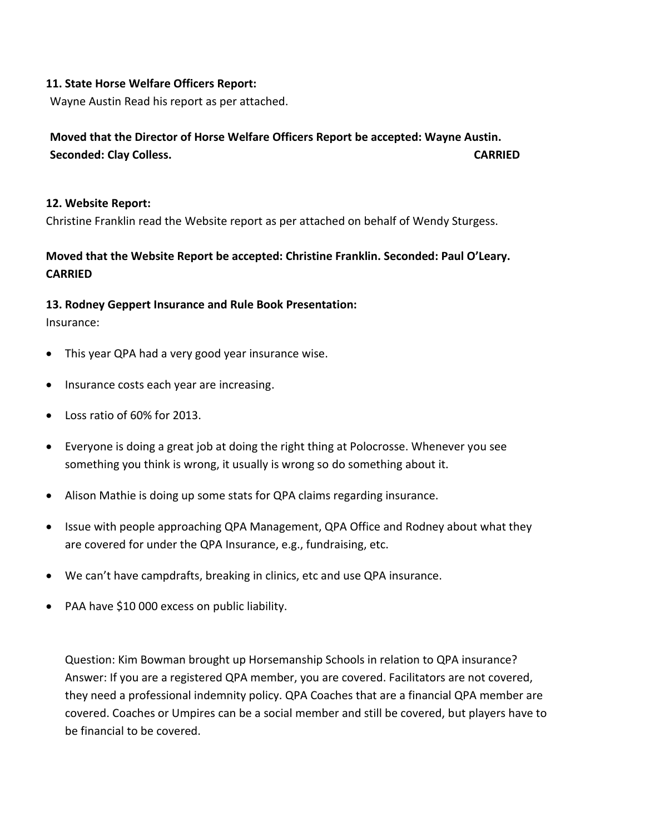#### **11. State Horse Welfare Officers Report:**

Wayne Austin Read his report as per attached.

## **Moved that the Director of Horse Welfare Officers Report be accepted: Wayne Austin. Seconded: Clay Colless. CARRIED**

#### **12. Website Report:**

Christine Franklin read the Website report as per attached on behalf of Wendy Sturgess.

## **Moved that the Website Report be accepted: Christine Franklin. Seconded: Paul O'Leary. CARRIED**

#### **13. Rodney Geppert Insurance and Rule Book Presentation:**

Insurance:

- This year QPA had a very good year insurance wise.
- Insurance costs each year are increasing.
- Loss ratio of 60% for 2013.
- Everyone is doing a great job at doing the right thing at Polocrosse. Whenever you see something you think is wrong, it usually is wrong so do something about it.
- Alison Mathie is doing up some stats for QPA claims regarding insurance.
- Issue with people approaching QPA Management, QPA Office and Rodney about what they are covered for under the QPA Insurance, e.g., fundraising, etc.
- We can't have campdrafts, breaking in clinics, etc and use QPA insurance.
- PAA have \$10 000 excess on public liability.

Question: Kim Bowman brought up Horsemanship Schools in relation to QPA insurance? Answer: If you are a registered QPA member, you are covered. Facilitators are not covered, they need a professional indemnity policy. QPA Coaches that are a financial QPA member are covered. Coaches or Umpires can be a social member and still be covered, but players have to be financial to be covered.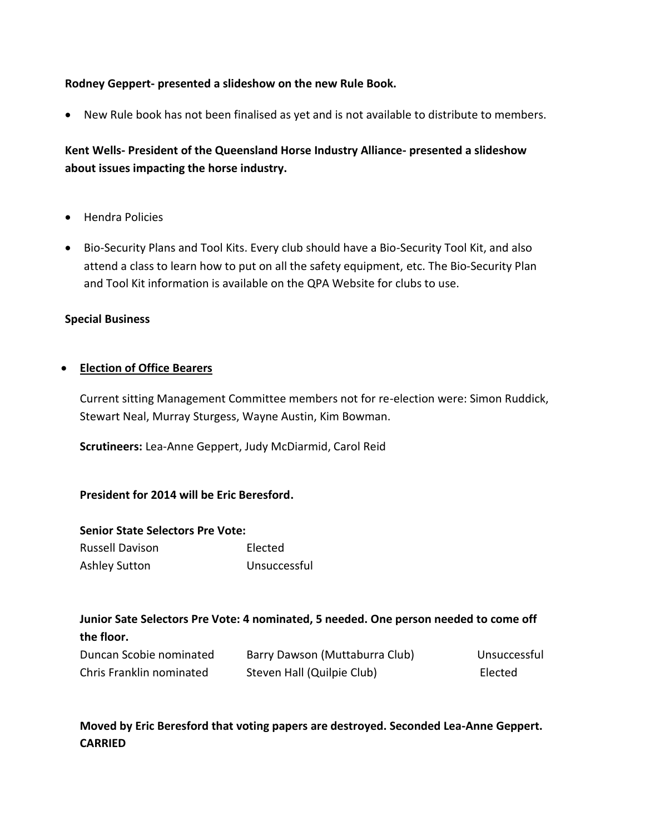#### **Rodney Geppert- presented a slideshow on the new Rule Book.**

New Rule book has not been finalised as yet and is not available to distribute to members.

## **Kent Wells- President of the Queensland Horse Industry Alliance- presented a slideshow about issues impacting the horse industry.**

- Hendra Policies
- Bio-Security Plans and Tool Kits. Every club should have a Bio-Security Tool Kit, and also attend a class to learn how to put on all the safety equipment, etc. The Bio-Security Plan and Tool Kit information is available on the QPA Website for clubs to use.

#### **Special Business**

#### **Election of Office Bearers**

Current sitting Management Committee members not for re-election were: Simon Ruddick, Stewart Neal, Murray Sturgess, Wayne Austin, Kim Bowman.

**Scrutineers:** Lea-Anne Geppert, Judy McDiarmid, Carol Reid

#### **President for 2014 will be Eric Beresford.**

## **Senior State Selectors Pre Vote:**

| <b>Russell Davison</b> | Elected      |
|------------------------|--------------|
| Ashley Sutton          | Unsuccessful |

## **Junior Sate Selectors Pre Vote: 4 nominated, 5 needed. One person needed to come off the floor.**

| Duncan Scobie nominated  | Barry Dawson (Muttaburra Club) | Unsuccessful |
|--------------------------|--------------------------------|--------------|
| Chris Franklin nominated | Steven Hall (Quilpie Club)     | Elected      |

## **Moved by Eric Beresford that voting papers are destroyed. Seconded Lea-Anne Geppert. CARRIED**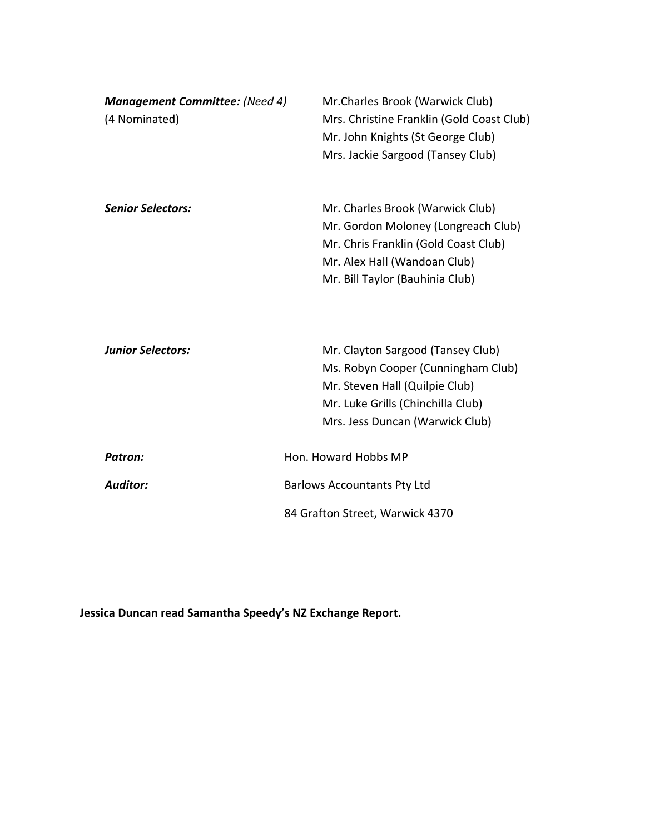| <b>Management Committee:</b> (Need 4)<br>(4 Nominated) | Mr.Charles Brook (Warwick Club)<br>Mrs. Christine Franklin (Gold Coast Club)<br>Mr. John Knights (St George Club)<br>Mrs. Jackie Sargood (Tansey Club)                             |
|--------------------------------------------------------|------------------------------------------------------------------------------------------------------------------------------------------------------------------------------------|
| <b>Senior Selectors:</b>                               | Mr. Charles Brook (Warwick Club)<br>Mr. Gordon Moloney (Longreach Club)<br>Mr. Chris Franklin (Gold Coast Club)<br>Mr. Alex Hall (Wandoan Club)<br>Mr. Bill Taylor (Bauhinia Club) |
| <b>Junior Selectors:</b>                               | Mr. Clayton Sargood (Tansey Club)<br>Ms. Robyn Cooper (Cunningham Club)<br>Mr. Steven Hall (Quilpie Club)<br>Mr. Luke Grills (Chinchilla Club)<br>Mrs. Jess Duncan (Warwick Club)  |
| <b>Patron:</b>                                         | Hon. Howard Hobbs MP                                                                                                                                                               |
| <b>Auditor:</b>                                        | <b>Barlows Accountants Pty Ltd</b>                                                                                                                                                 |
|                                                        | 84 Grafton Street, Warwick 4370                                                                                                                                                    |

**Jessica Duncan read Samantha Speedy's NZ Exchange Report.**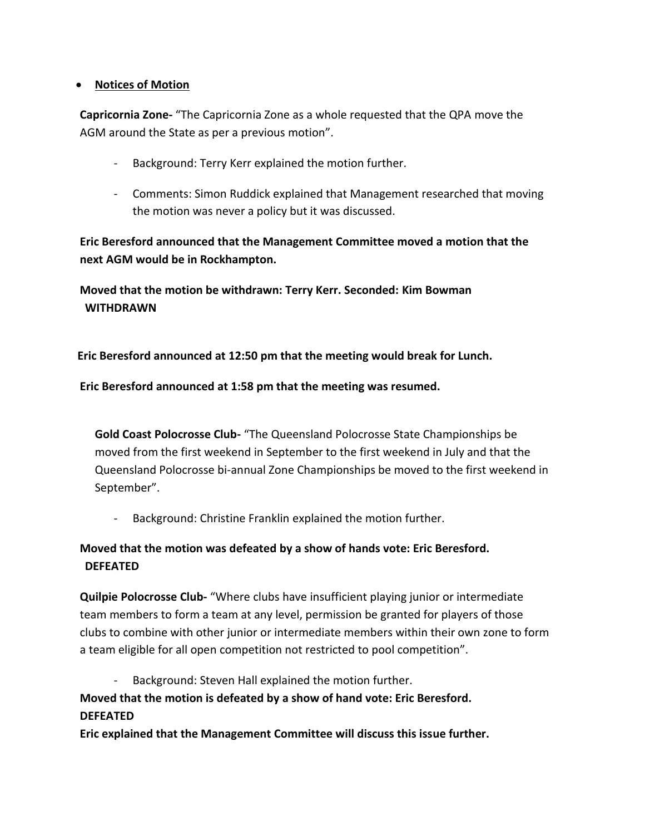#### **Notices of Motion**

**Capricornia Zone-** "The Capricornia Zone as a whole requested that the QPA move the AGM around the State as per a previous motion".

- Background: Terry Kerr explained the motion further.
- Comments: Simon Ruddick explained that Management researched that moving the motion was never a policy but it was discussed.

**Eric Beresford announced that the Management Committee moved a motion that the next AGM would be in Rockhampton.** 

**Moved that the motion be withdrawn: Terry Kerr. Seconded: Kim Bowman WITHDRAWN**

**Eric Beresford announced at 12:50 pm that the meeting would break for Lunch.**

**Eric Beresford announced at 1:58 pm that the meeting was resumed.**

**Gold Coast Polocrosse Club-** "The Queensland Polocrosse State Championships be moved from the first weekend in September to the first weekend in July and that the Queensland Polocrosse bi-annual Zone Championships be moved to the first weekend in September".

- Background: Christine Franklin explained the motion further.

## **Moved that the motion was defeated by a show of hands vote: Eric Beresford. DEFEATED**

**Quilpie Polocrosse Club-** "Where clubs have insufficient playing junior or intermediate team members to form a team at any level, permission be granted for players of those clubs to combine with other junior or intermediate members within their own zone to form a team eligible for all open competition not restricted to pool competition".

- Background: Steven Hall explained the motion further. **Moved that the motion is defeated by a show of hand vote: Eric Beresford. DEFEATED**

**Eric explained that the Management Committee will discuss this issue further.**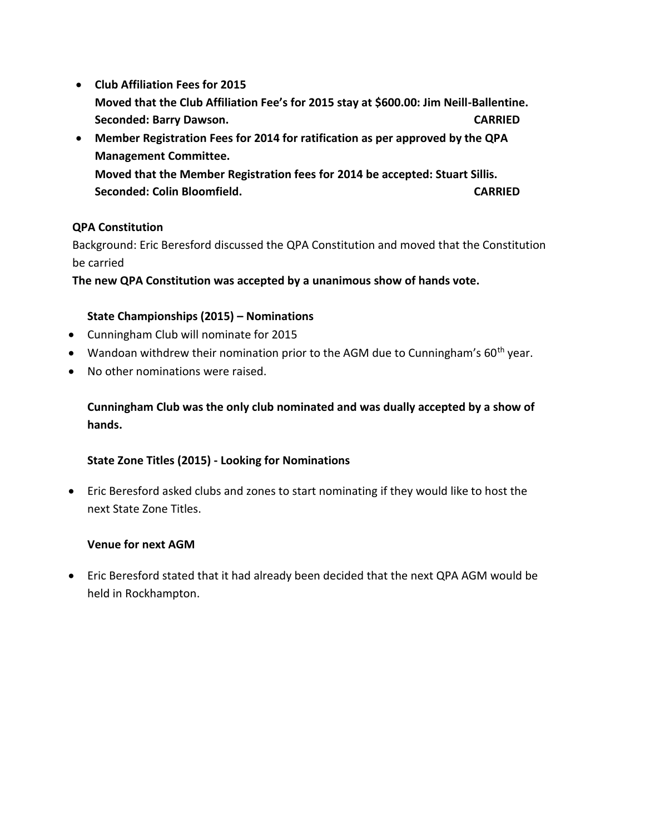- **Club Affiliation Fees for 2015 Moved that the Club Affiliation Fee's for 2015 stay at \$600.00: Jim Neill-Ballentine. Seconded: Barry Dawson. CARRIED**
- **Member Registration Fees for 2014 for ratification as per approved by the QPA Management Committee. Moved that the Member Registration fees for 2014 be accepted: Stuart Sillis. Seconded: Colin Bloomfield. CARRIED**

#### **QPA Constitution**

Background: Eric Beresford discussed the QPA Constitution and moved that the Constitution be carried

**The new QPA Constitution was accepted by a unanimous show of hands vote.**

#### **State Championships (2015) – Nominations**

- Cunningham Club will nominate for 2015
- Wandoan withdrew their nomination prior to the AGM due to Cunningham's  $60<sup>th</sup>$  year.
- No other nominations were raised.

## **Cunningham Club was the only club nominated and was dually accepted by a show of hands.**

#### **State Zone Titles (2015) - Looking for Nominations**

 Eric Beresford asked clubs and zones to start nominating if they would like to host the next State Zone Titles.

#### **Venue for next AGM**

 Eric Beresford stated that it had already been decided that the next QPA AGM would be held in Rockhampton.